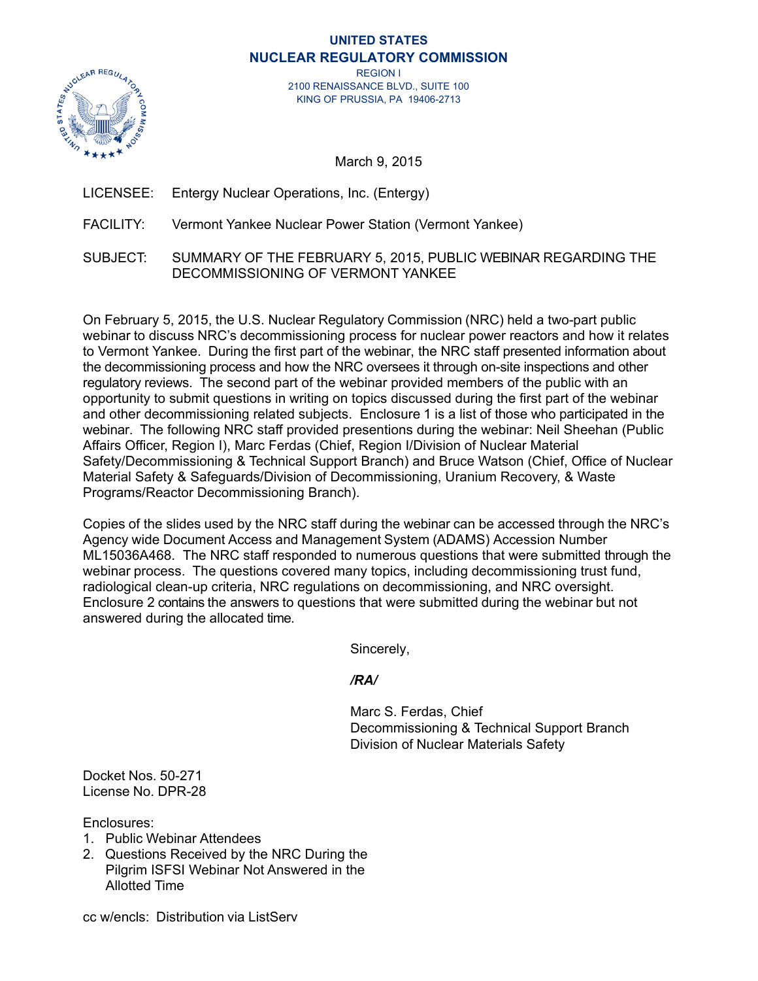#### **UNITED STATES NUCLEAR REGULATORY COMMISSION**



REGION I 2100 RENAISSANCE BLVD., SUITE 100 KING OF PRUSSIA, PA 19406-2713

March 9, 2015

- LICENSEE: Entergy Nuclear Operations, Inc. (Entergy)
- FACILITY: Vermont Yankee Nuclear Power Station (Vermont Yankee)
- SUBJECT: SUMMARY OF THE FEBRUARY 5, 2015, PUBLIC WEBINAR REGARDING THE DECOMMISSIONING OF VERMONT YANKEE

On February 5, 2015, the U.S. Nuclear Regulatory Commission (NRC) held a two-part public webinar to discuss NRC's decommissioning process for nuclear power reactors and how it relates to Vermont Yankee. During the first part of the webinar, the NRC staff presented information about the decommissioning process and how the NRC oversees it through on-site inspections and other regulatory reviews. The second part of the webinar provided members of the public with an opportunity to submit questions in writing on topics discussed during the first part of the webinar and other decommissioning related subjects. Enclosure 1 is a list of those who participated in the webinar. The following NRC staff provided presentions during the webinar: Neil Sheehan (Public Affairs Officer, Region I), Marc Ferdas (Chief, Region I/Division of Nuclear Material Safety/Decommissioning & Technical Support Branch) and Bruce Watson (Chief, Office of Nuclear Material Safety & Safeguards/Division of Decommissioning, Uranium Recovery, & Waste Programs/Reactor Decommissioning Branch).

Copies of the slides used by the NRC staff during the webinar can be accessed through the NRC's Agency wide Document Access and Management System (ADAMS) Accession Number ML15036A468. The NRC staff responded to numerous questions that were submitted through the webinar process. The questions covered many topics, including decommissioning trust fund, radiological clean-up criteria, NRC regulations on decommissioning, and NRC oversight. Enclosure 2 contains the answers to questions that were submitted during the webinar but not answered during the allocated time.

Sincerely,

# */RA/*

 Marc S. Ferdas, Chief Decommissioning & Technical Support Branch Division of Nuclear Materials Safety

Docket Nos. 50-271 License No. DPR-28

Enclosures:

- 1. Public Webinar Attendees
- 2. Questions Received by the NRC During the Pilgrim ISFSI Webinar Not Answered in the Allotted Time

cc w/encls: Distribution via ListServ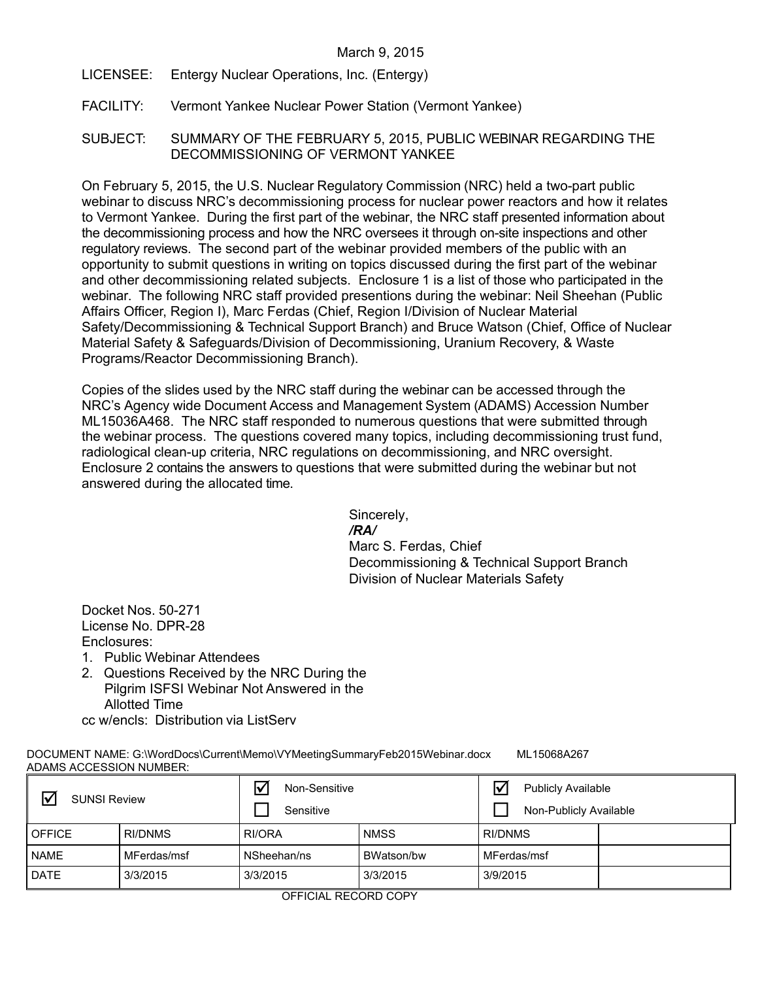- LICENSEE: Entergy Nuclear Operations, Inc. (Entergy)
- FACILITY: Vermont Yankee Nuclear Power Station (Vermont Yankee)
- SUBJECT: SUMMARY OF THE FEBRUARY 5, 2015, PUBLIC WEBINAR REGARDING THE DECOMMISSIONING OF VERMONT YANKEE

On February 5, 2015, the U.S. Nuclear Regulatory Commission (NRC) held a two-part public webinar to discuss NRC's decommissioning process for nuclear power reactors and how it relates to Vermont Yankee. During the first part of the webinar, the NRC staff presented information about the decommissioning process and how the NRC oversees it through on-site inspections and other regulatory reviews. The second part of the webinar provided members of the public with an opportunity to submit questions in writing on topics discussed during the first part of the webinar and other decommissioning related subjects. Enclosure 1 is a list of those who participated in the webinar. The following NRC staff provided presentions during the webinar: Neil Sheehan (Public Affairs Officer, Region I), Marc Ferdas (Chief, Region I/Division of Nuclear Material Safety/Decommissioning & Technical Support Branch) and Bruce Watson (Chief, Office of Nuclear Material Safety & Safeguards/Division of Decommissioning, Uranium Recovery, & Waste Programs/Reactor Decommissioning Branch).

Copies of the slides used by the NRC staff during the webinar can be accessed through the NRC's Agency wide Document Access and Management System (ADAMS) Accession Number ML15036A468. The NRC staff responded to numerous questions that were submitted through the webinar process. The questions covered many topics, including decommissioning trust fund, radiological clean-up criteria, NRC regulations on decommissioning, and NRC oversight. Enclosure 2 contains the answers to questions that were submitted during the webinar but not answered during the allocated time.

> Sincerely, */RA/*  Marc S. Ferdas, Chief Decommissioning & Technical Support Branch Division of Nuclear Materials Safety

Docket Nos. 50-271 License No. DPR-28 Enclosures:

- 1. Public Webinar Attendees
- 2. Questions Received by the NRC During the Pilgrim ISFSI Webinar Not Answered in the Allotted Time

cc w/encls: Distribution via ListServ

DOCUMENT NAME: G:\WordDocs\Current\Memo\VYMeetingSummaryFeb2015Webinar.docx ML15068A267 ADAMS ACCESSION NUMBER:

| 冈<br><b>SUNSI Review</b> |             | $\overline{\mathsf{v}}$<br>Non-Sensitive<br>Sensitive |             | $\blacktriangledown$<br><b>Publicly Available</b><br>Non-Publicly Available |  |
|--------------------------|-------------|-------------------------------------------------------|-------------|-----------------------------------------------------------------------------|--|
| <b>OFFICE</b>            | RI/DNMS     | RI/ORA                                                | <b>NMSS</b> | <b>RI/DNMS</b>                                                              |  |
| <b>NAME</b>              | MFerdas/msf | NSheehan/ns                                           | BWatson/bw  | MFerdas/msf                                                                 |  |
| DATE                     | 3/3/2015    | 3/3/2015                                              | 3/3/2015    | 3/9/2015                                                                    |  |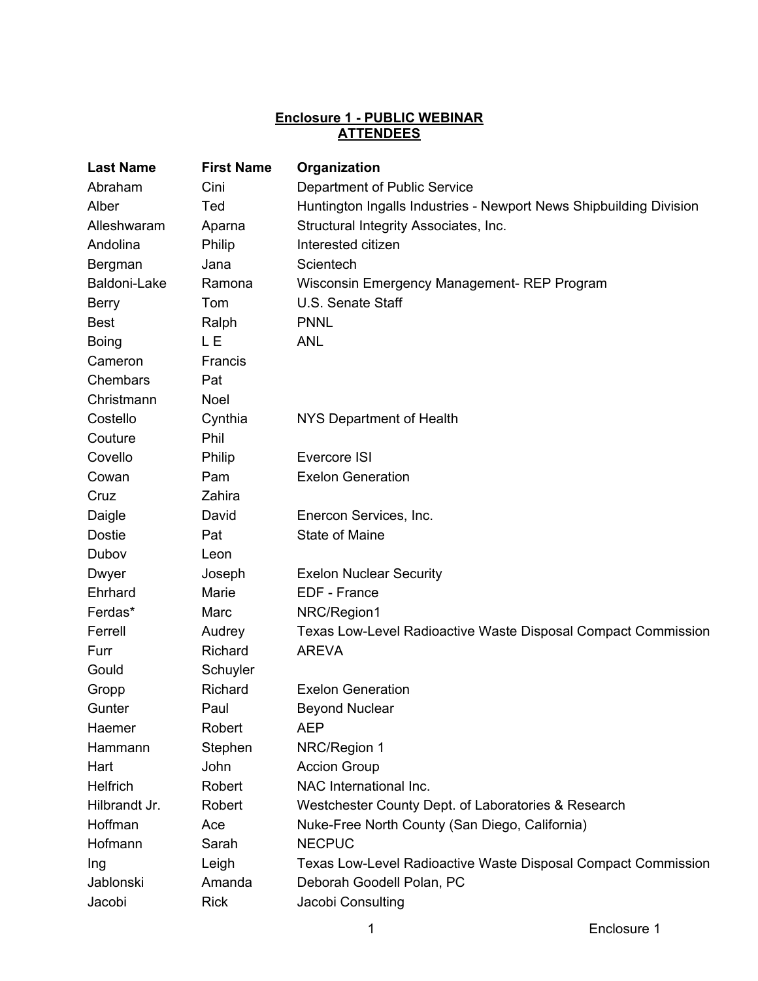# **Enclosure 1 - PUBLIC WEBINAR ATTENDEES**

| <b>Last Name</b> | <b>First Name</b> | Organization                                                       |  |
|------------------|-------------------|--------------------------------------------------------------------|--|
| Abraham          | Cini              | Department of Public Service                                       |  |
| Alber            | Ted               | Huntington Ingalls Industries - Newport News Shipbuilding Division |  |
| Alleshwaram      | Aparna            | Structural Integrity Associates, Inc.                              |  |
| Andolina         | Philip            | Interested citizen                                                 |  |
| Bergman          | Jana              | Scientech                                                          |  |
| Baldoni-Lake     | Ramona            | Wisconsin Emergency Management-REP Program                         |  |
| Berry            | Tom               | U.S. Senate Staff                                                  |  |
| <b>Best</b>      | Ralph             | <b>PNNL</b>                                                        |  |
| <b>Boing</b>     | L E               | <b>ANL</b>                                                         |  |
| Cameron          | Francis           |                                                                    |  |
| Chembars         | Pat               |                                                                    |  |
| Christmann       | <b>Noel</b>       |                                                                    |  |
| Costello         | Cynthia           | NYS Department of Health                                           |  |
| Couture          | Phil              |                                                                    |  |
| Covello          | Philip            | Evercore ISI                                                       |  |
| Cowan            | Pam               | <b>Exelon Generation</b>                                           |  |
| Cruz             | Zahira            |                                                                    |  |
| Daigle           | David             | Enercon Services, Inc.                                             |  |
| <b>Dostie</b>    | Pat               | State of Maine                                                     |  |
| Dubov            | Leon              |                                                                    |  |
| Dwyer            | Joseph            | <b>Exelon Nuclear Security</b>                                     |  |
| Ehrhard          | Marie             | EDF - France                                                       |  |
| Ferdas*          | Marc              | NRC/Region1                                                        |  |
| Ferrell          | Audrey            | Texas Low-Level Radioactive Waste Disposal Compact Commission      |  |
| Furr             | Richard           | <b>AREVA</b>                                                       |  |
| Gould            | Schuyler          |                                                                    |  |
| Gropp            | Richard           | <b>Exelon Generation</b>                                           |  |
| Gunter           | Paul              | <b>Beyond Nuclear</b>                                              |  |
| Haemer           | Robert            | <b>AEP</b>                                                         |  |
| Hammann          | Stephen           | NRC/Region 1                                                       |  |
| Hart             | John              | <b>Accion Group</b>                                                |  |
| <b>Helfrich</b>  | Robert            | NAC International Inc.                                             |  |
| Hilbrandt Jr.    | Robert            | Westchester County Dept. of Laboratories & Research                |  |
| Hoffman          | Ace               | Nuke-Free North County (San Diego, California)                     |  |
| Hofmann          | Sarah             | <b>NECPUC</b>                                                      |  |
| Ing              | Leigh             | Texas Low-Level Radioactive Waste Disposal Compact Commission      |  |
| Jablonski        | Amanda            | Deborah Goodell Polan, PC                                          |  |
| Jacobi           | <b>Rick</b>       | Jacobi Consulting                                                  |  |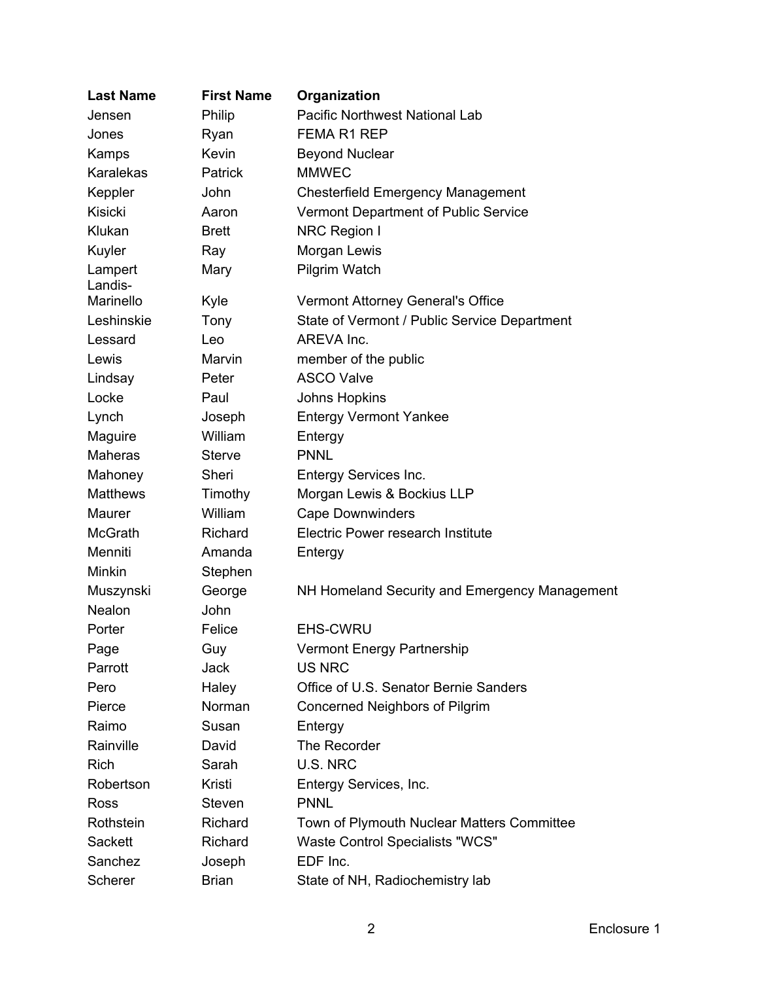| <b>Last Name</b>   | <b>First Name</b> | Organization                                  |
|--------------------|-------------------|-----------------------------------------------|
| Jensen             | Philip            | Pacific Northwest National Lab                |
| Jones              | Ryan              | <b>FEMA R1 REP</b>                            |
| Kamps              | Kevin             | <b>Beyond Nuclear</b>                         |
| Karalekas          | Patrick           | <b>MMWEC</b>                                  |
| Keppler            | John              | <b>Chesterfield Emergency Management</b>      |
| <b>Kisicki</b>     | Aaron             | Vermont Department of Public Service          |
| Klukan             | <b>Brett</b>      | <b>NRC Region I</b>                           |
| Kuyler             | Ray               | Morgan Lewis                                  |
| Lampert<br>Landis- | Mary              | <b>Pilgrim Watch</b>                          |
| Marinello          | Kyle              | Vermont Attorney General's Office             |
| Leshinskie         | Tony              | State of Vermont / Public Service Department  |
| Lessard            | Leo               | AREVA Inc.                                    |
| Lewis              | Marvin            | member of the public                          |
| Lindsay            | Peter             | <b>ASCO Valve</b>                             |
| Locke              | Paul              | <b>Johns Hopkins</b>                          |
| Lynch              | Joseph            | <b>Entergy Vermont Yankee</b>                 |
| Maguire            | William           | Entergy                                       |
| <b>Maheras</b>     | <b>Sterve</b>     | <b>PNNL</b>                                   |
| Mahoney            | Sheri             | Entergy Services Inc.                         |
| <b>Matthews</b>    | Timothy           | Morgan Lewis & Bockius LLP                    |
| Maurer             | William           | <b>Cape Downwinders</b>                       |
| <b>McGrath</b>     | Richard           | Electric Power research Institute             |
| Menniti            | Amanda            | Entergy                                       |
| Minkin             | Stephen           |                                               |
| Muszynski          | George            | NH Homeland Security and Emergency Management |
| Nealon             | John              |                                               |
| Porter             | Felice            | <b>EHS-CWRU</b>                               |
| Page               | Guy               | <b>Vermont Energy Partnership</b>             |
| Parrott            | Jack              | <b>US NRC</b>                                 |
| Pero               | Haley             | Office of U.S. Senator Bernie Sanders         |
| Pierce             | Norman            | Concerned Neighbors of Pilgrim                |
| Raimo              | Susan             | Entergy                                       |
| Rainville          | David             | The Recorder                                  |
| <b>Rich</b>        | Sarah             | U.S. NRC                                      |
| Robertson          | Kristi            | Entergy Services, Inc.                        |
| Ross               | Steven            | <b>PNNL</b>                                   |
| Rothstein          | Richard           | Town of Plymouth Nuclear Matters Committee    |
| Sackett            | Richard           | <b>Waste Control Specialists "WCS"</b>        |
| Sanchez            | Joseph            | EDF Inc.                                      |
| Scherer            | <b>Brian</b>      | State of NH, Radiochemistry lab               |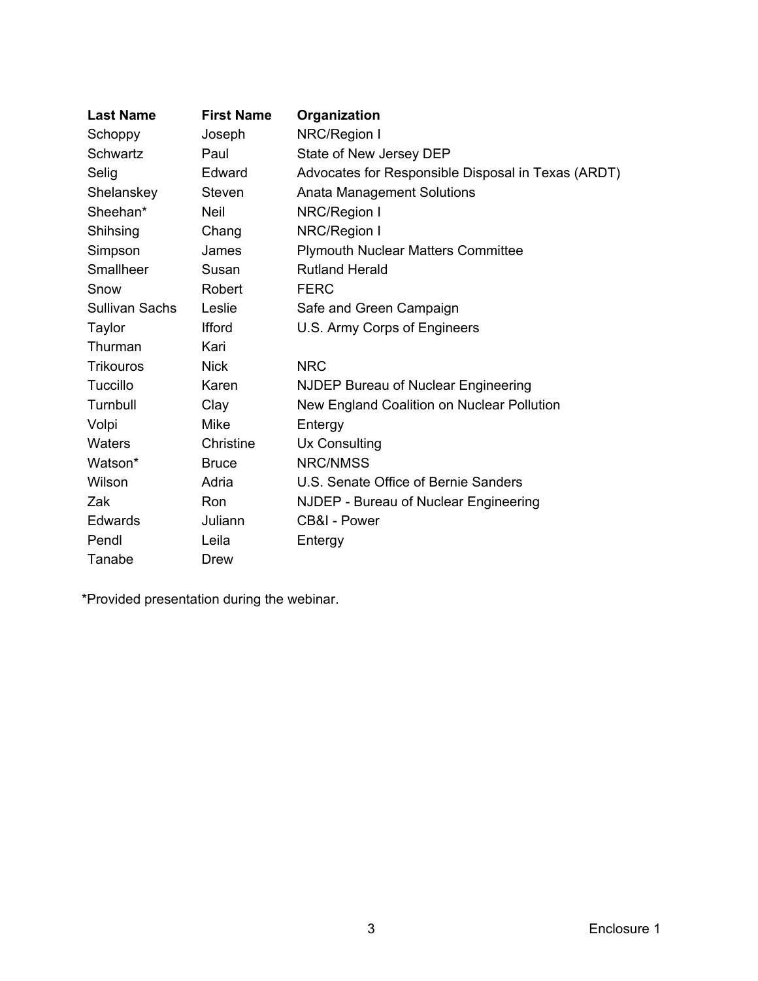| <b>Last Name</b>      | <b>First Name</b> | Organization                                       |
|-----------------------|-------------------|----------------------------------------------------|
| Schoppy               | Joseph            | NRC/Region I                                       |
| Schwartz              | Paul              | State of New Jersey DEP                            |
| Selig                 | Edward            | Advocates for Responsible Disposal in Texas (ARDT) |
| Shelanskey            | Steven            | <b>Anata Management Solutions</b>                  |
| Sheehan*              | <b>Neil</b>       | NRC/Region I                                       |
| Shihsing              | Chang             | NRC/Region I                                       |
| Simpson               | James             | <b>Plymouth Nuclear Matters Committee</b>          |
| Smallheer             | Susan             | <b>Rutland Herald</b>                              |
| Snow                  | Robert            | <b>FERC</b>                                        |
| <b>Sullivan Sachs</b> | Leslie            | Safe and Green Campaign                            |
| Taylor                | <b>Ifford</b>     | U.S. Army Corps of Engineers                       |
| Thurman               | Kari              |                                                    |
| <b>Trikouros</b>      | <b>Nick</b>       | <b>NRC</b>                                         |
| Tuccillo              | Karen             | NJDEP Bureau of Nuclear Engineering                |
| Turnbull              | Clay              | New England Coalition on Nuclear Pollution         |
| Volpi                 | <b>Mike</b>       | Entergy                                            |
| Waters                | Christine         | Ux Consulting                                      |
| Watson*               | <b>Bruce</b>      | <b>NRC/NMSS</b>                                    |
| Wilson                | Adria             | U.S. Senate Office of Bernie Sanders               |
| Zak                   | Ron               | NJDEP - Bureau of Nuclear Engineering              |
| <b>Edwards</b>        | Juliann           | CB&I - Power                                       |
| Pendl                 | Leila             | Entergy                                            |
| Tanabe                | Drew              |                                                    |

\*Provided presentation during the webinar.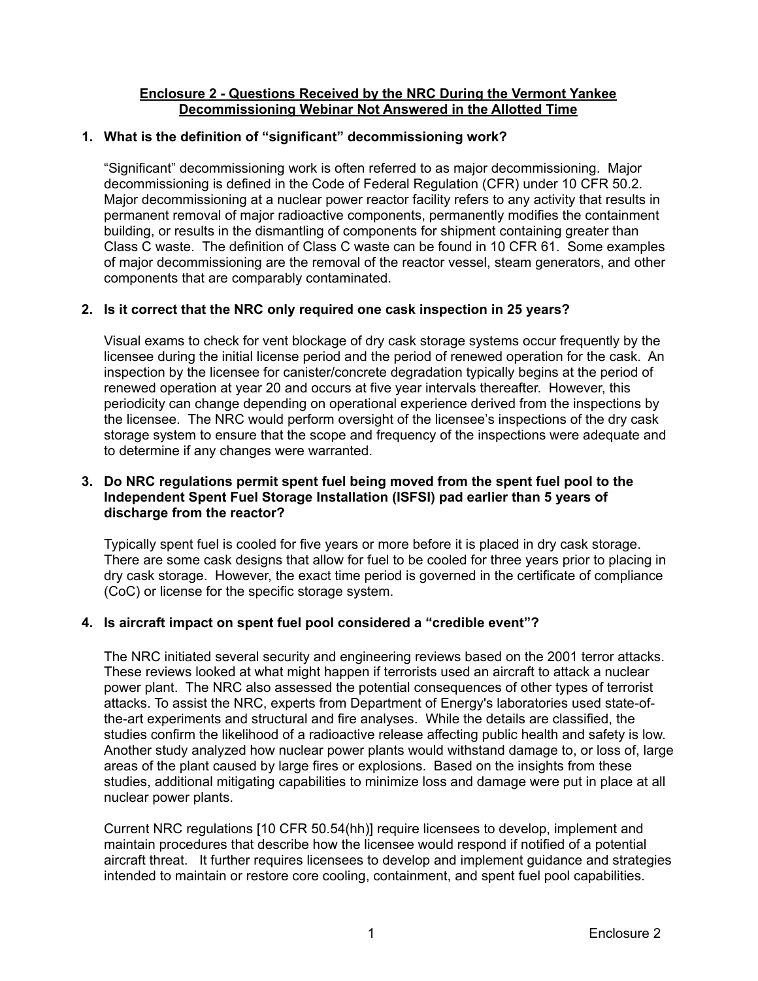## **Enclosure 2 - Questions Received by the NRC During the Vermont Yankee Decommissioning Webinar Not Answered in the Allotted Time**

# **1. What is the definition of "significant" decommissioning work?**

"Significant" decommissioning work is often referred to as major decommissioning. Major decommissioning is defined in the Code of Federal Regulation (CFR) under 10 CFR 50.2. Major decommissioning at a nuclear power reactor facility refers to any activity that results in permanent removal of major radioactive components, permanently modifies the containment building, or results in the dismantling of components for shipment containing greater than Class C waste. The definition of Class C waste can be found in 10 CFR 61. Some examples of major decommissioning are the removal of the reactor vessel, steam generators, and other components that are comparably contaminated.

# **2. Is it correct that the NRC only required one cask inspection in 25 years?**

Visual exams to check for vent blockage of dry cask storage systems occur frequently by the licensee during the initial license period and the period of renewed operation for the cask. An inspection by the licensee for canister/concrete degradation typically begins at the period of renewed operation at year 20 and occurs at five year intervals thereafter. However, this periodicity can change depending on operational experience derived from the inspections by the licensee. The NRC would perform oversight of the licensee's inspections of the dry cask storage system to ensure that the scope and frequency of the inspections were adequate and to determine if any changes were warranted.

## **3. Do NRC regulations permit spent fuel being moved from the spent fuel pool to the Independent Spent Fuel Storage Installation (ISFSI) pad earlier than 5 years of discharge from the reactor?**

Typically spent fuel is cooled for five years or more before it is placed in dry cask storage. There are some cask designs that allow for fuel to be cooled for three years prior to placing in dry cask storage. However, the exact time period is governed in the certificate of compliance (CoC) or license for the specific storage system.

# **4. Is aircraft impact on spent fuel pool considered a "credible event"?**

The NRC initiated several security and engineering reviews based on the 2001 terror attacks. These reviews looked at what might happen if terrorists used an aircraft to attack a nuclear power plant. The NRC also assessed the potential consequences of other types of terrorist attacks. To assist the NRC, experts from Department of Energy's laboratories used state-ofthe-art experiments and structural and fire analyses. While the details are classified, the studies confirm the likelihood of a radioactive release affecting public health and safety is low. Another study analyzed how nuclear power plants would withstand damage to, or loss of, large areas of the plant caused by large fires or explosions. Based on the insights from these studies, additional mitigating capabilities to minimize loss and damage were put in place at all nuclear power plants.

Current NRC regulations [10 CFR 50.54(hh)] require licensees to develop, implement and maintain procedures that describe how the licensee would respond if notified of a potential aircraft threat. It further requires licensees to develop and implement guidance and strategies intended to maintain or restore core cooling, containment, and spent fuel pool capabilities.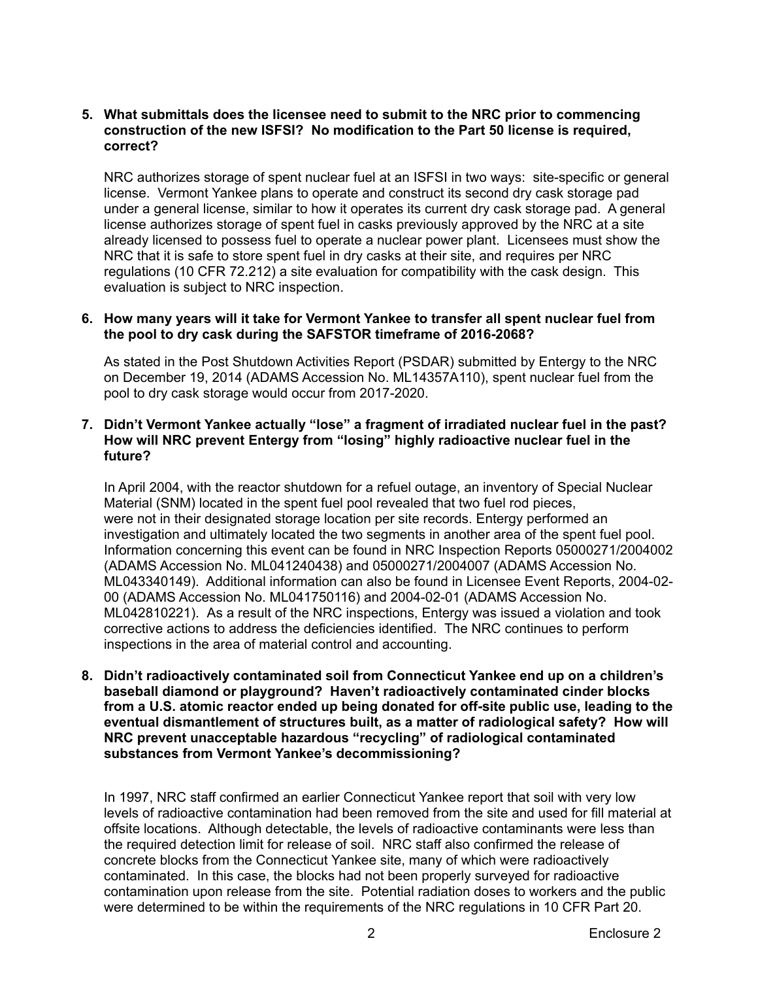### **5. What submittals does the licensee need to submit to the NRC prior to commencing construction of the new ISFSI? No modification to the Part 50 license is required, correct?**

NRC authorizes storage of spent nuclear fuel at an ISFSI in two ways: site-specific or general license. Vermont Yankee plans to operate and construct its second dry cask storage pad under a general license, similar to how it operates its current dry cask storage pad. A general license authorizes storage of spent fuel in casks previously approved by the NRC at a site already licensed to possess fuel to operate a nuclear power plant. Licensees must show the NRC that it is safe to store spent fuel in dry casks at their site, and requires per NRC regulations (10 CFR 72.212) a site evaluation for compatibility with the cask design. This evaluation is subject to NRC inspection.

### **6. How many years will it take for Vermont Yankee to transfer all spent nuclear fuel from the pool to dry cask during the SAFSTOR timeframe of 2016-2068?**

 As stated in the Post Shutdown Activities Report (PSDAR) submitted by Entergy to the NRC on December 19, 2014 (ADAMS Accession No. ML14357A110), spent nuclear fuel from the pool to dry cask storage would occur from 2017-2020.

## **7. Didn't Vermont Yankee actually "lose" a fragment of irradiated nuclear fuel in the past? How will NRC prevent Entergy from "losing" highly radioactive nuclear fuel in the future?**

In April 2004, with the reactor shutdown for a refuel outage, an inventory of Special Nuclear Material (SNM) located in the spent fuel pool revealed that two fuel rod pieces, were not in their designated storage location per site records. Entergy performed an investigation and ultimately located the two segments in another area of the spent fuel pool. Information concerning this event can be found in NRC Inspection Reports 05000271/2004002 (ADAMS Accession No. ML041240438) and 05000271/2004007 (ADAMS Accession No. ML043340149). Additional information can also be found in Licensee Event Reports, 2004-02- 00 (ADAMS Accession No. ML041750116) and 2004-02-01 (ADAMS Accession No. ML042810221). As a result of the NRC inspections, Entergy was issued a violation and took corrective actions to address the deficiencies identified. The NRC continues to perform inspections in the area of material control and accounting.

**8. Didn't radioactively contaminated soil from Connecticut Yankee end up on a children's baseball diamond or playground? Haven't radioactively contaminated cinder blocks from a U.S. atomic reactor ended up being donated for off-site public use, leading to the eventual dismantlement of structures built, as a matter of radiological safety? How will NRC prevent unacceptable hazardous "recycling" of radiological contaminated substances from Vermont Yankee's decommissioning?** 

In 1997, NRC staff confirmed an earlier Connecticut Yankee report that soil with very low levels of radioactive contamination had been removed from the site and used for fill material at offsite locations. Although detectable, the levels of radioactive contaminants were less than the required detection limit for release of soil. NRC staff also confirmed the release of concrete blocks from the Connecticut Yankee site, many of which were radioactively contaminated. In this case, the blocks had not been properly surveyed for radioactive contamination upon release from the site. Potential radiation doses to workers and the public were determined to be within the requirements of the NRC regulations in 10 CFR Part 20.